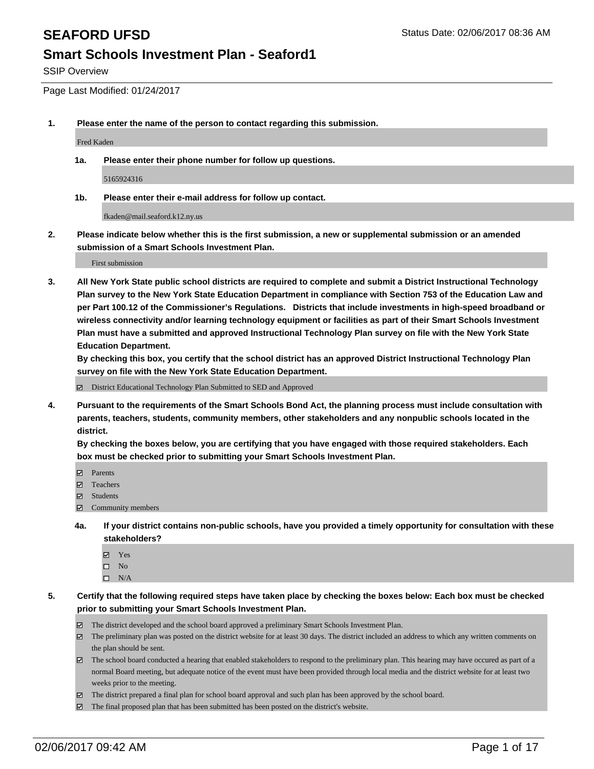SSIP Overview

Page Last Modified: 01/24/2017

**1. Please enter the name of the person to contact regarding this submission.**

Fred Kaden

**1a. Please enter their phone number for follow up questions.**

5165924316

**1b. Please enter their e-mail address for follow up contact.**

fkaden@mail.seaford.k12.ny.us

**2. Please indicate below whether this is the first submission, a new or supplemental submission or an amended submission of a Smart Schools Investment Plan.**

First submission

**3. All New York State public school districts are required to complete and submit a District Instructional Technology Plan survey to the New York State Education Department in compliance with Section 753 of the Education Law and per Part 100.12 of the Commissioner's Regulations. Districts that include investments in high-speed broadband or wireless connectivity and/or learning technology equipment or facilities as part of their Smart Schools Investment Plan must have a submitted and approved Instructional Technology Plan survey on file with the New York State Education Department.** 

**By checking this box, you certify that the school district has an approved District Instructional Technology Plan survey on file with the New York State Education Department.**

District Educational Technology Plan Submitted to SED and Approved

**4. Pursuant to the requirements of the Smart Schools Bond Act, the planning process must include consultation with parents, teachers, students, community members, other stakeholders and any nonpublic schools located in the district.** 

**By checking the boxes below, you are certifying that you have engaged with those required stakeholders. Each box must be checked prior to submitting your Smart Schools Investment Plan.**

- **Parents**
- Teachers
- **冈** Students
- Community members
- **4a. If your district contains non-public schools, have you provided a timely opportunity for consultation with these stakeholders?**
	- Yes
	- $\square$  No
	- $\square$  N/A
- **5. Certify that the following required steps have taken place by checking the boxes below: Each box must be checked prior to submitting your Smart Schools Investment Plan.**
	- The district developed and the school board approved a preliminary Smart Schools Investment Plan.
	- The preliminary plan was posted on the district website for at least 30 days. The district included an address to which any written comments on the plan should be sent.
	- The school board conducted a hearing that enabled stakeholders to respond to the preliminary plan. This hearing may have occured as part of a normal Board meeting, but adequate notice of the event must have been provided through local media and the district website for at least two weeks prior to the meeting.
	- The district prepared a final plan for school board approval and such plan has been approved by the school board.
	- $\boxtimes$  The final proposed plan that has been submitted has been posted on the district's website.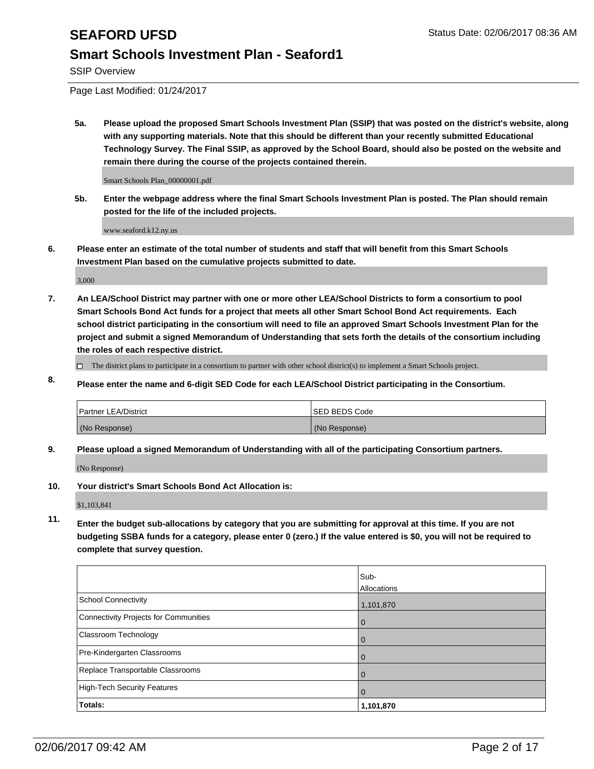SSIP Overview

Page Last Modified: 01/24/2017

**5a. Please upload the proposed Smart Schools Investment Plan (SSIP) that was posted on the district's website, along with any supporting materials. Note that this should be different than your recently submitted Educational Technology Survey. The Final SSIP, as approved by the School Board, should also be posted on the website and remain there during the course of the projects contained therein.**

Smart Schools Plan\_00000001.pdf

**5b. Enter the webpage address where the final Smart Schools Investment Plan is posted. The Plan should remain posted for the life of the included projects.**

www.seaford.k12.ny.us

**6. Please enter an estimate of the total number of students and staff that will benefit from this Smart Schools Investment Plan based on the cumulative projects submitted to date.**

3,000

- **7. An LEA/School District may partner with one or more other LEA/School Districts to form a consortium to pool Smart Schools Bond Act funds for a project that meets all other Smart School Bond Act requirements. Each school district participating in the consortium will need to file an approved Smart Schools Investment Plan for the project and submit a signed Memorandum of Understanding that sets forth the details of the consortium including the roles of each respective district.**
	- $\Box$  The district plans to participate in a consortium to partner with other school district(s) to implement a Smart Schools project.
- **8. Please enter the name and 6-digit SED Code for each LEA/School District participating in the Consortium.**

| <b>Partner LEA/District</b> | <b>ISED BEDS Code</b> |
|-----------------------------|-----------------------|
| (No Response)               | (No Response)         |

**9. Please upload a signed Memorandum of Understanding with all of the participating Consortium partners.**

(No Response)

**10. Your district's Smart Schools Bond Act Allocation is:**

\$1,103,841

**11. Enter the budget sub-allocations by category that you are submitting for approval at this time. If you are not budgeting SSBA funds for a category, please enter 0 (zero.) If the value entered is \$0, you will not be required to complete that survey question.**

|                                       | Sub-        |
|---------------------------------------|-------------|
|                                       | Allocations |
| School Connectivity                   | 1,101,870   |
| Connectivity Projects for Communities | O           |
| <b>Classroom Technology</b>           |             |
| Pre-Kindergarten Classrooms           |             |
| Replace Transportable Classrooms      |             |
| High-Tech Security Features           |             |
| Totals:                               | 1,101,870   |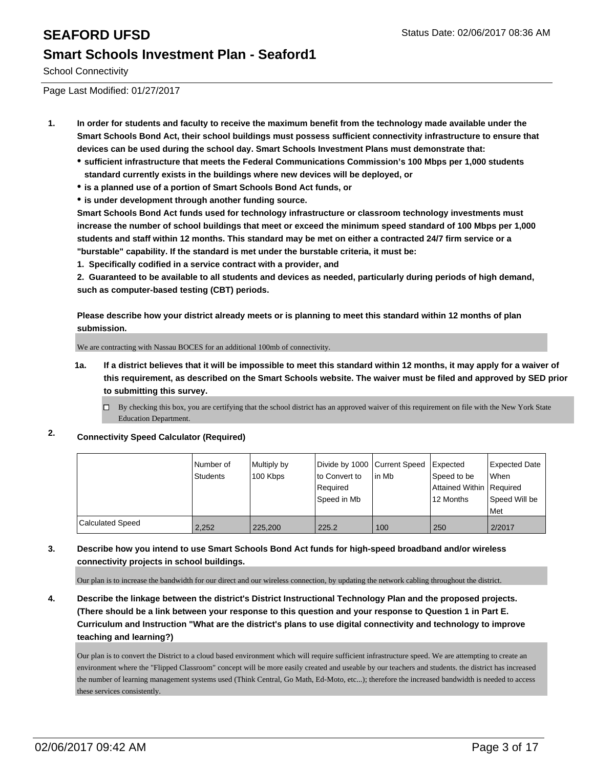School Connectivity

Page Last Modified: 01/27/2017

- **1. In order for students and faculty to receive the maximum benefit from the technology made available under the Smart Schools Bond Act, their school buildings must possess sufficient connectivity infrastructure to ensure that devices can be used during the school day. Smart Schools Investment Plans must demonstrate that:**
	- **sufficient infrastructure that meets the Federal Communications Commission's 100 Mbps per 1,000 students standard currently exists in the buildings where new devices will be deployed, or**
	- **is a planned use of a portion of Smart Schools Bond Act funds, or**
	- **is under development through another funding source.**

**Smart Schools Bond Act funds used for technology infrastructure or classroom technology investments must increase the number of school buildings that meet or exceed the minimum speed standard of 100 Mbps per 1,000 students and staff within 12 months. This standard may be met on either a contracted 24/7 firm service or a "burstable" capability. If the standard is met under the burstable criteria, it must be:**

**1. Specifically codified in a service contract with a provider, and**

**2. Guaranteed to be available to all students and devices as needed, particularly during periods of high demand, such as computer-based testing (CBT) periods.**

**Please describe how your district already meets or is planning to meet this standard within 12 months of plan submission.**

We are contracting with Nassau BOCES for an additional 100mb of connectivity.

**1a. If a district believes that it will be impossible to meet this standard within 12 months, it may apply for a waiver of this requirement, as described on the Smart Schools website. The waiver must be filed and approved by SED prior to submitting this survey.**

□ By checking this box, you are certifying that the school district has an approved waiver of this requirement on file with the New York State Education Department.

**2. Connectivity Speed Calculator (Required)**

|                         | INumber of<br>Students | Multiply by<br>100 Kbps | Divide by 1000 Current Speed<br>Ito Convert to<br>l Reauired<br> Speed in Mb | lin Mb | Expected<br>Speed to be<br>Attained Within   Required<br>12 Months | Expected Date<br><b>When</b><br>Speed Will be<br><b>Met</b> |
|-------------------------|------------------------|-------------------------|------------------------------------------------------------------------------|--------|--------------------------------------------------------------------|-------------------------------------------------------------|
| <b>Calculated Speed</b> | 2,252                  | 225,200                 | 225.2                                                                        | 100    | 250                                                                | 2/2017                                                      |

**3. Describe how you intend to use Smart Schools Bond Act funds for high-speed broadband and/or wireless connectivity projects in school buildings.**

Our plan is to increase the bandwidth for our direct and our wireless connection, by updating the network cabling throughout the district.

**4. Describe the linkage between the district's District Instructional Technology Plan and the proposed projects. (There should be a link between your response to this question and your response to Question 1 in Part E. Curriculum and Instruction "What are the district's plans to use digital connectivity and technology to improve teaching and learning?)**

Our plan is to convert the District to a cloud based environment which will require sufficient infrastructure speed. We are attempting to create an environment where the "Flipped Classroom" concept will be more easily created and useable by our teachers and students. the district has increased the number of learning management systems used (Think Central, Go Math, Ed-Moto, etc...); therefore the increased bandwidth is needed to access these services consistently.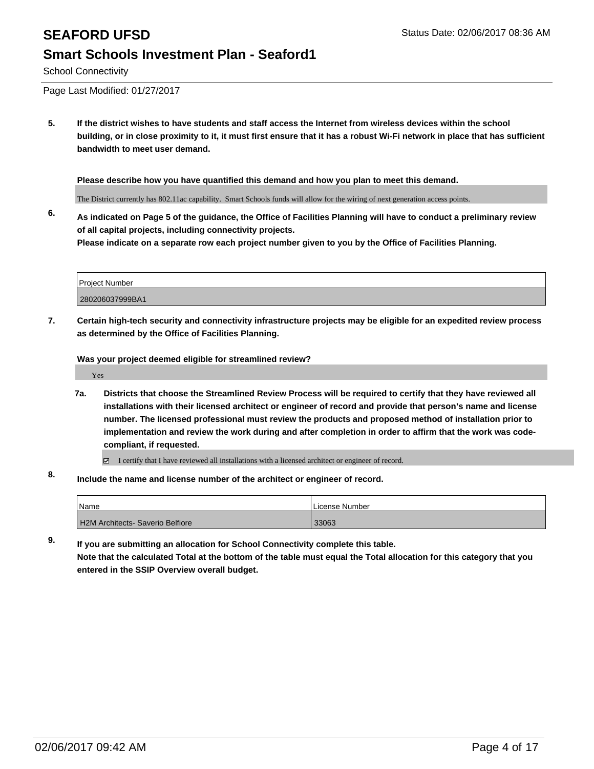# **SEAFORD UFSD** Status Date: 02/06/2017 08:36 AM **Smart Schools Investment Plan - Seaford1**

School Connectivity

Page Last Modified: 01/27/2017

**5. If the district wishes to have students and staff access the Internet from wireless devices within the school building, or in close proximity to it, it must first ensure that it has a robust Wi-Fi network in place that has sufficient bandwidth to meet user demand.**

**Please describe how you have quantified this demand and how you plan to meet this demand.**

The District currently has 802.11ac capability. Smart Schools funds will allow for the wiring of next generation access points.

**6. As indicated on Page 5 of the guidance, the Office of Facilities Planning will have to conduct a preliminary review of all capital projects, including connectivity projects. Please indicate on a separate row each project number given to you by the Office of Facilities Planning.**

| Project Number  |  |
|-----------------|--|
|                 |  |
| 280206037999BA1 |  |
|                 |  |

**7. Certain high-tech security and connectivity infrastructure projects may be eligible for an expedited review process as determined by the Office of Facilities Planning.**

**Was your project deemed eligible for streamlined review?**

Yes

**7a. Districts that choose the Streamlined Review Process will be required to certify that they have reviewed all installations with their licensed architect or engineer of record and provide that person's name and license number. The licensed professional must review the products and proposed method of installation prior to implementation and review the work during and after completion in order to affirm that the work was codecompliant, if requested.**

I certify that I have reviewed all installations with a licensed architect or engineer of record.

**8. Include the name and license number of the architect or engineer of record.**

| 'Name                            | License Number |
|----------------------------------|----------------|
| H2M Architects- Saverio Belfiore | 33063          |

**9. If you are submitting an allocation for School Connectivity complete this table. Note that the calculated Total at the bottom of the table must equal the Total allocation for this category that you entered in the SSIP Overview overall budget.**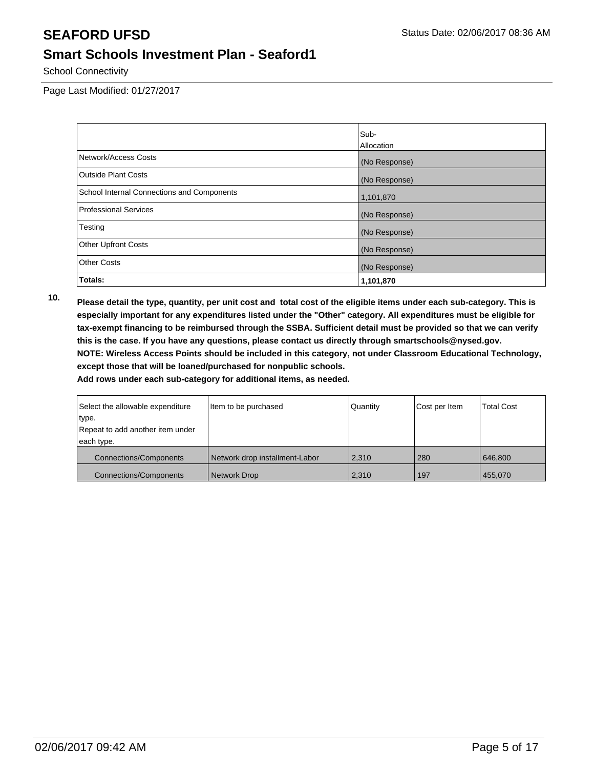School Connectivity

Page Last Modified: 01/27/2017

|                                            | Sub-          |
|--------------------------------------------|---------------|
|                                            | Allocation    |
| Network/Access Costs                       | (No Response) |
| <b>Outside Plant Costs</b>                 | (No Response) |
| School Internal Connections and Components | 1,101,870     |
| <b>Professional Services</b>               | (No Response) |
| Testing                                    | (No Response) |
| <b>Other Upfront Costs</b>                 | (No Response) |
| <b>Other Costs</b>                         | (No Response) |
| Totals:                                    | 1,101,870     |

**10. Please detail the type, quantity, per unit cost and total cost of the eligible items under each sub-category. This is especially important for any expenditures listed under the "Other" category. All expenditures must be eligible for tax-exempt financing to be reimbursed through the SSBA. Sufficient detail must be provided so that we can verify this is the case. If you have any questions, please contact us directly through smartschools@nysed.gov. NOTE: Wireless Access Points should be included in this category, not under Classroom Educational Technology, except those that will be loaned/purchased for nonpublic schools.**

| Select the allowable expenditure | Item to be purchased           | Quantity | Cost per Item | <b>Total Cost</b> |
|----------------------------------|--------------------------------|----------|---------------|-------------------|
| type.                            |                                |          |               |                   |
| Repeat to add another item under |                                |          |               |                   |
| each type.                       |                                |          |               |                   |
| <b>Connections/Components</b>    | Network drop installment-Labor | 2.310    | 280           | 646,800           |
| <b>Connections/Components</b>    | Network Drop                   | 2.310    | 197           | 455.070           |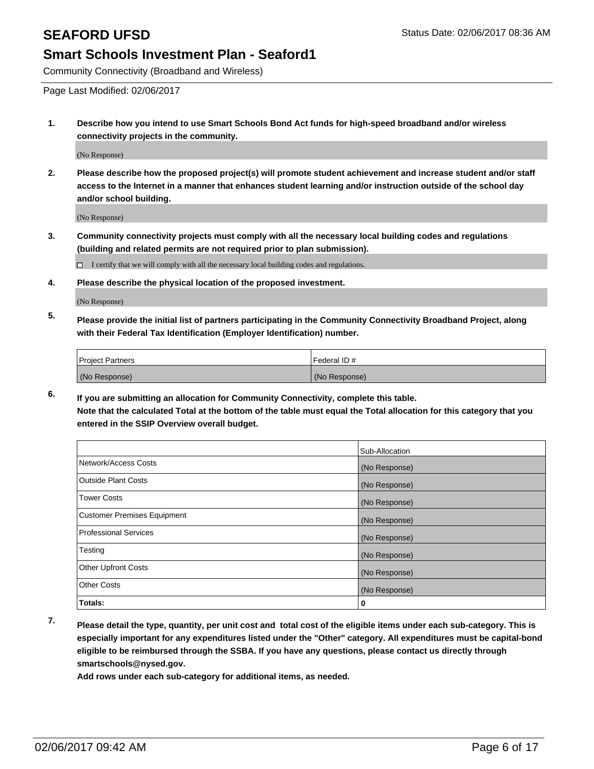Community Connectivity (Broadband and Wireless)

Page Last Modified: 02/06/2017

**1. Describe how you intend to use Smart Schools Bond Act funds for high-speed broadband and/or wireless connectivity projects in the community.**

(No Response)

**2. Please describe how the proposed project(s) will promote student achievement and increase student and/or staff access to the Internet in a manner that enhances student learning and/or instruction outside of the school day and/or school building.**

(No Response)

**3. Community connectivity projects must comply with all the necessary local building codes and regulations (building and related permits are not required prior to plan submission).**

 $\Box$  I certify that we will comply with all the necessary local building codes and regulations.

**4. Please describe the physical location of the proposed investment.**

(No Response)

**5. Please provide the initial list of partners participating in the Community Connectivity Broadband Project, along with their Federal Tax Identification (Employer Identification) number.**

| <b>Project Partners</b> | I Federal ID # |
|-------------------------|----------------|
| (No Response)           | (No Response)  |

**6. If you are submitting an allocation for Community Connectivity, complete this table. Note that the calculated Total at the bottom of the table must equal the Total allocation for this category that you entered in the SSIP Overview overall budget.**

|                                    | Sub-Allocation |
|------------------------------------|----------------|
| Network/Access Costs               | (No Response)  |
| <b>Outside Plant Costs</b>         | (No Response)  |
| <b>Tower Costs</b>                 | (No Response)  |
| <b>Customer Premises Equipment</b> | (No Response)  |
| <b>Professional Services</b>       | (No Response)  |
| Testing                            | (No Response)  |
| Other Upfront Costs                | (No Response)  |
| <b>Other Costs</b>                 | (No Response)  |
| Totals:                            | 0              |

**7. Please detail the type, quantity, per unit cost and total cost of the eligible items under each sub-category. This is especially important for any expenditures listed under the "Other" category. All expenditures must be capital-bond eligible to be reimbursed through the SSBA. If you have any questions, please contact us directly through smartschools@nysed.gov.**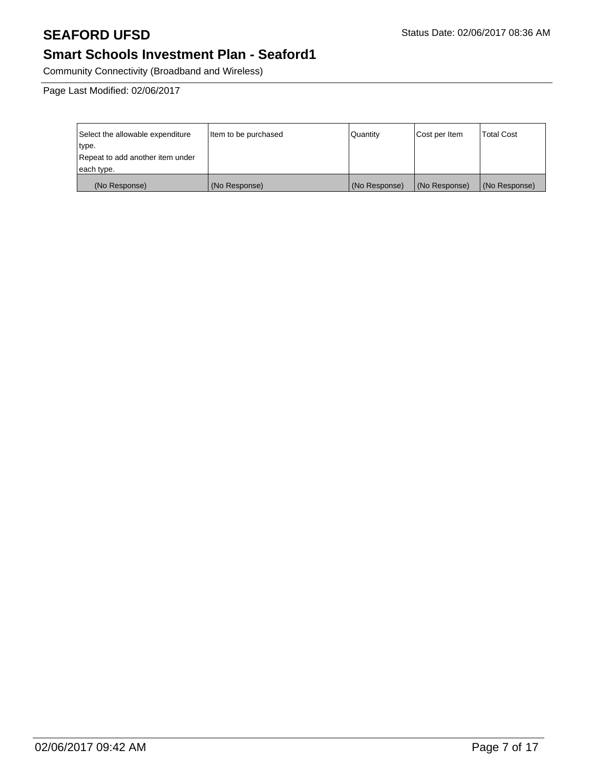Community Connectivity (Broadband and Wireless)

Page Last Modified: 02/06/2017

| Select the allowable expenditure | Item to be purchased | Quantity      | Cost per Item | <b>Total Cost</b> |
|----------------------------------|----------------------|---------------|---------------|-------------------|
| type.                            |                      |               |               |                   |
| Repeat to add another item under |                      |               |               |                   |
| each type.                       |                      |               |               |                   |
| (No Response)                    | (No Response)        | (No Response) | (No Response) | (No Response)     |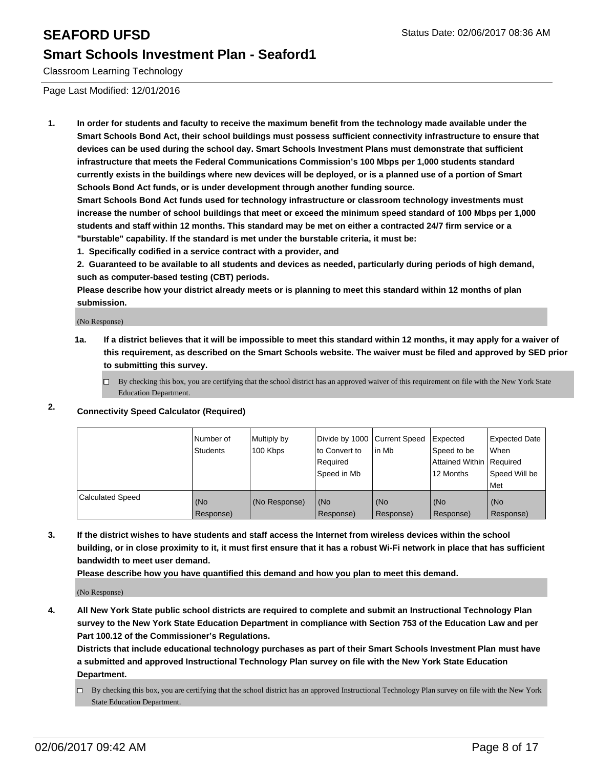Classroom Learning Technology

Page Last Modified: 12/01/2016

**1. In order for students and faculty to receive the maximum benefit from the technology made available under the Smart Schools Bond Act, their school buildings must possess sufficient connectivity infrastructure to ensure that devices can be used during the school day. Smart Schools Investment Plans must demonstrate that sufficient infrastructure that meets the Federal Communications Commission's 100 Mbps per 1,000 students standard currently exists in the buildings where new devices will be deployed, or is a planned use of a portion of Smart Schools Bond Act funds, or is under development through another funding source.**

**Smart Schools Bond Act funds used for technology infrastructure or classroom technology investments must increase the number of school buildings that meet or exceed the minimum speed standard of 100 Mbps per 1,000 students and staff within 12 months. This standard may be met on either a contracted 24/7 firm service or a "burstable" capability. If the standard is met under the burstable criteria, it must be:**

**1. Specifically codified in a service contract with a provider, and**

**2. Guaranteed to be available to all students and devices as needed, particularly during periods of high demand, such as computer-based testing (CBT) periods.**

**Please describe how your district already meets or is planning to meet this standard within 12 months of plan submission.**

(No Response)

- **1a. If a district believes that it will be impossible to meet this standard within 12 months, it may apply for a waiver of this requirement, as described on the Smart Schools website. The waiver must be filed and approved by SED prior to submitting this survey.**
	- $\Box$  By checking this box, you are certifying that the school district has an approved waiver of this requirement on file with the New York State Education Department.
- **2. Connectivity Speed Calculator (Required)**

|                         | Number of<br>Students | Multiply by<br>100 Kbps | Divide by 1000 Current Speed<br>to Convert to<br>Reauired<br>Speed in Mb | lin Mb           | <b>Expected</b><br>Speed to be<br>Attained Within Required<br>12 Months | <b>Expected Date</b><br>l When<br>Speed Will be<br>l Met |
|-------------------------|-----------------------|-------------------------|--------------------------------------------------------------------------|------------------|-------------------------------------------------------------------------|----------------------------------------------------------|
| <b>Calculated Speed</b> | (No<br>Response)      | (No Response)           | (No<br>Response)                                                         | (No<br>Response) | (No<br>Response)                                                        | l (No<br>Response)                                       |

**3. If the district wishes to have students and staff access the Internet from wireless devices within the school building, or in close proximity to it, it must first ensure that it has a robust Wi-Fi network in place that has sufficient bandwidth to meet user demand.**

**Please describe how you have quantified this demand and how you plan to meet this demand.**

(No Response)

**4. All New York State public school districts are required to complete and submit an Instructional Technology Plan survey to the New York State Education Department in compliance with Section 753 of the Education Law and per Part 100.12 of the Commissioner's Regulations.**

**Districts that include educational technology purchases as part of their Smart Schools Investment Plan must have a submitted and approved Instructional Technology Plan survey on file with the New York State Education Department.**

By checking this box, you are certifying that the school district has an approved Instructional Technology Plan survey on file with the New York State Education Department.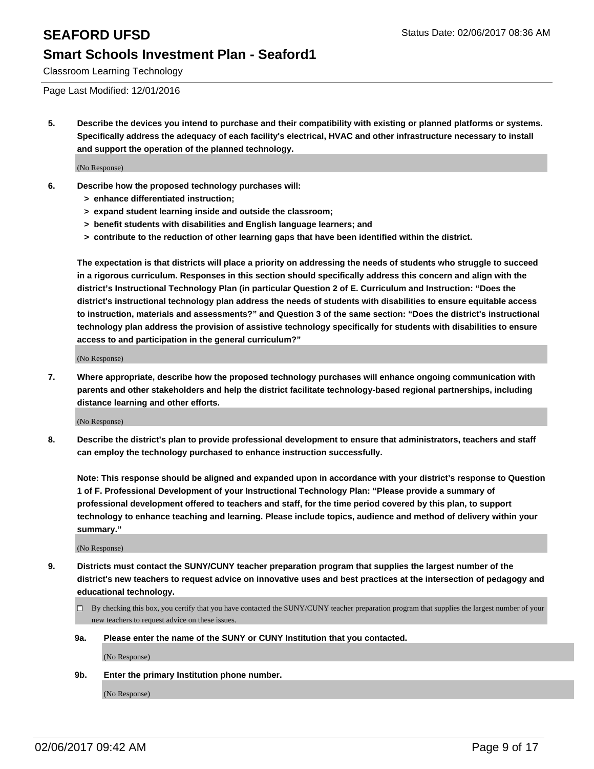Classroom Learning Technology

Page Last Modified: 12/01/2016

**5. Describe the devices you intend to purchase and their compatibility with existing or planned platforms or systems. Specifically address the adequacy of each facility's electrical, HVAC and other infrastructure necessary to install and support the operation of the planned technology.**

(No Response)

- **6. Describe how the proposed technology purchases will:**
	- **> enhance differentiated instruction;**
	- **> expand student learning inside and outside the classroom;**
	- **> benefit students with disabilities and English language learners; and**
	- **> contribute to the reduction of other learning gaps that have been identified within the district.**

**The expectation is that districts will place a priority on addressing the needs of students who struggle to succeed in a rigorous curriculum. Responses in this section should specifically address this concern and align with the district's Instructional Technology Plan (in particular Question 2 of E. Curriculum and Instruction: "Does the district's instructional technology plan address the needs of students with disabilities to ensure equitable access to instruction, materials and assessments?" and Question 3 of the same section: "Does the district's instructional technology plan address the provision of assistive technology specifically for students with disabilities to ensure access to and participation in the general curriculum?"**

(No Response)

**7. Where appropriate, describe how the proposed technology purchases will enhance ongoing communication with parents and other stakeholders and help the district facilitate technology-based regional partnerships, including distance learning and other efforts.**

(No Response)

**8. Describe the district's plan to provide professional development to ensure that administrators, teachers and staff can employ the technology purchased to enhance instruction successfully.**

**Note: This response should be aligned and expanded upon in accordance with your district's response to Question 1 of F. Professional Development of your Instructional Technology Plan: "Please provide a summary of professional development offered to teachers and staff, for the time period covered by this plan, to support technology to enhance teaching and learning. Please include topics, audience and method of delivery within your summary."**

(No Response)

- **9. Districts must contact the SUNY/CUNY teacher preparation program that supplies the largest number of the district's new teachers to request advice on innovative uses and best practices at the intersection of pedagogy and educational technology.**
	- By checking this box, you certify that you have contacted the SUNY/CUNY teacher preparation program that supplies the largest number of your new teachers to request advice on these issues.
	- **9a. Please enter the name of the SUNY or CUNY Institution that you contacted.**

(No Response)

**9b. Enter the primary Institution phone number.**

(No Response)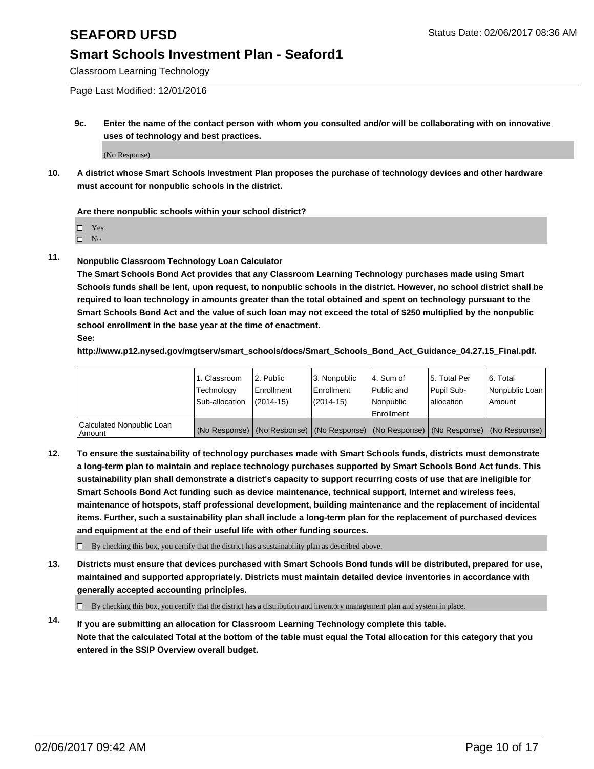Classroom Learning Technology

Page Last Modified: 12/01/2016

**9c. Enter the name of the contact person with whom you consulted and/or will be collaborating with on innovative uses of technology and best practices.**

(No Response)

**10. A district whose Smart Schools Investment Plan proposes the purchase of technology devices and other hardware must account for nonpublic schools in the district.**

**Are there nonpublic schools within your school district?**

Yes

 $\square$  No

**11. Nonpublic Classroom Technology Loan Calculator**

**The Smart Schools Bond Act provides that any Classroom Learning Technology purchases made using Smart Schools funds shall be lent, upon request, to nonpublic schools in the district. However, no school district shall be required to loan technology in amounts greater than the total obtained and spent on technology pursuant to the Smart Schools Bond Act and the value of such loan may not exceed the total of \$250 multiplied by the nonpublic school enrollment in the base year at the time of enactment. See:**

**http://www.p12.nysed.gov/mgtserv/smart\_schools/docs/Smart\_Schools\_Bond\_Act\_Guidance\_04.27.15\_Final.pdf.**

|                                         | 1. Classroom<br>Technology<br>Sub-allocation | 2. Public<br>Enrollment<br>$(2014 - 15)$ | 3. Nonpublic<br>Enrollment<br>$(2014 - 15)$                                                   | l 4. Sum of<br>l Public and<br>l Nonpublic<br>Enrollment | 5. Total Per<br>Pupil Sub-<br>lallocation | 6. Total<br>Nonpublic Loan<br>Amount |
|-----------------------------------------|----------------------------------------------|------------------------------------------|-----------------------------------------------------------------------------------------------|----------------------------------------------------------|-------------------------------------------|--------------------------------------|
| Calculated Nonpublic Loan<br>l Amount i |                                              |                                          | (No Response)   (No Response)   (No Response)   (No Response)   (No Response)   (No Response) |                                                          |                                           |                                      |

**12. To ensure the sustainability of technology purchases made with Smart Schools funds, districts must demonstrate a long-term plan to maintain and replace technology purchases supported by Smart Schools Bond Act funds. This sustainability plan shall demonstrate a district's capacity to support recurring costs of use that are ineligible for Smart Schools Bond Act funding such as device maintenance, technical support, Internet and wireless fees, maintenance of hotspots, staff professional development, building maintenance and the replacement of incidental items. Further, such a sustainability plan shall include a long-term plan for the replacement of purchased devices and equipment at the end of their useful life with other funding sources.**

 $\Box$  By checking this box, you certify that the district has a sustainability plan as described above.

**13. Districts must ensure that devices purchased with Smart Schools Bond funds will be distributed, prepared for use, maintained and supported appropriately. Districts must maintain detailed device inventories in accordance with generally accepted accounting principles.**

 $\Box$  By checking this box, you certify that the district has a distribution and inventory management plan and system in place.

**14. If you are submitting an allocation for Classroom Learning Technology complete this table. Note that the calculated Total at the bottom of the table must equal the Total allocation for this category that you entered in the SSIP Overview overall budget.**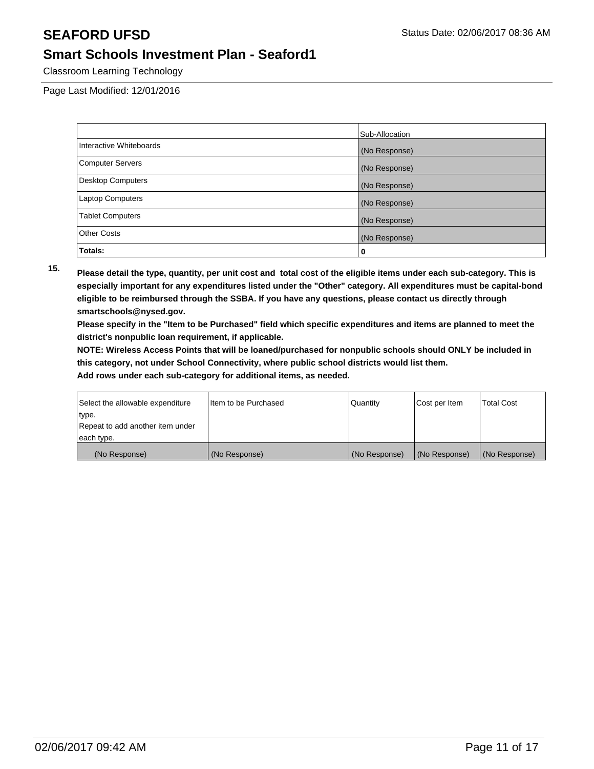Classroom Learning Technology

Page Last Modified: 12/01/2016

|                          | Sub-Allocation |
|--------------------------|----------------|
| Interactive Whiteboards  | (No Response)  |
| <b>Computer Servers</b>  | (No Response)  |
| <b>Desktop Computers</b> | (No Response)  |
| <b>Laptop Computers</b>  | (No Response)  |
| <b>Tablet Computers</b>  | (No Response)  |
| <b>Other Costs</b>       | (No Response)  |
| Totals:                  | 0              |

**15. Please detail the type, quantity, per unit cost and total cost of the eligible items under each sub-category. This is especially important for any expenditures listed under the "Other" category. All expenditures must be capital-bond eligible to be reimbursed through the SSBA. If you have any questions, please contact us directly through smartschools@nysed.gov.**

**Please specify in the "Item to be Purchased" field which specific expenditures and items are planned to meet the district's nonpublic loan requirement, if applicable.**

**NOTE: Wireless Access Points that will be loaned/purchased for nonpublic schools should ONLY be included in this category, not under School Connectivity, where public school districts would list them.**

| Select the allowable expenditure | Iltem to be Purchased | Quantity      | Cost per Item | <b>Total Cost</b> |
|----------------------------------|-----------------------|---------------|---------------|-------------------|
| ∣type.                           |                       |               |               |                   |
| Repeat to add another item under |                       |               |               |                   |
| each type.                       |                       |               |               |                   |
| (No Response)                    | (No Response)         | (No Response) | (No Response) | (No Response)     |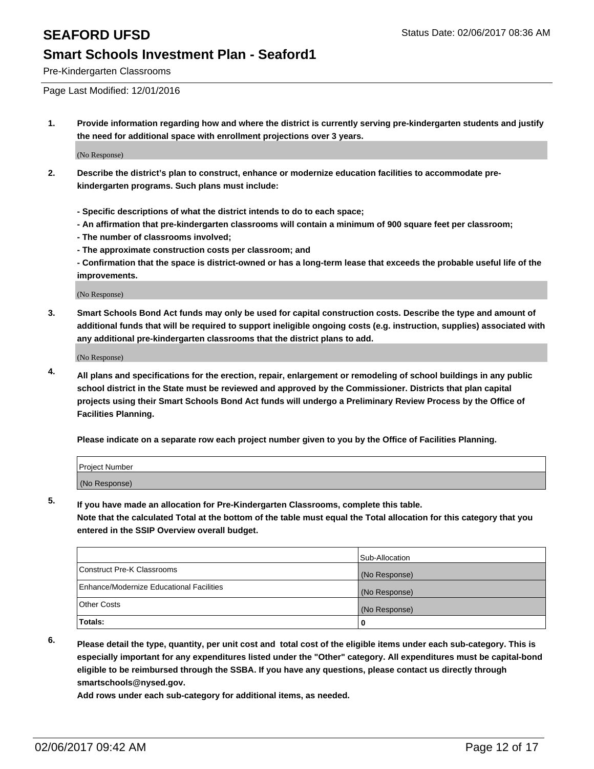Pre-Kindergarten Classrooms

Page Last Modified: 12/01/2016

**1. Provide information regarding how and where the district is currently serving pre-kindergarten students and justify the need for additional space with enrollment projections over 3 years.**

(No Response)

- **2. Describe the district's plan to construct, enhance or modernize education facilities to accommodate prekindergarten programs. Such plans must include:**
	- **Specific descriptions of what the district intends to do to each space;**
	- **An affirmation that pre-kindergarten classrooms will contain a minimum of 900 square feet per classroom;**
	- **The number of classrooms involved;**
	- **The approximate construction costs per classroom; and**
	- **Confirmation that the space is district-owned or has a long-term lease that exceeds the probable useful life of the improvements.**

(No Response)

**3. Smart Schools Bond Act funds may only be used for capital construction costs. Describe the type and amount of additional funds that will be required to support ineligible ongoing costs (e.g. instruction, supplies) associated with any additional pre-kindergarten classrooms that the district plans to add.**

(No Response)

**4. All plans and specifications for the erection, repair, enlargement or remodeling of school buildings in any public school district in the State must be reviewed and approved by the Commissioner. Districts that plan capital projects using their Smart Schools Bond Act funds will undergo a Preliminary Review Process by the Office of Facilities Planning.**

**Please indicate on a separate row each project number given to you by the Office of Facilities Planning.**

| Project Number |  |  |
|----------------|--|--|
| (No Response)  |  |  |

**5. If you have made an allocation for Pre-Kindergarten Classrooms, complete this table.**

**Note that the calculated Total at the bottom of the table must equal the Total allocation for this category that you entered in the SSIP Overview overall budget.**

|                                          | Sub-Allocation |
|------------------------------------------|----------------|
| Construct Pre-K Classrooms               | (No Response)  |
| Enhance/Modernize Educational Facilities | (No Response)  |
| <b>Other Costs</b>                       | (No Response)  |
| Totals:                                  |                |

**6. Please detail the type, quantity, per unit cost and total cost of the eligible items under each sub-category. This is especially important for any expenditures listed under the "Other" category. All expenditures must be capital-bond eligible to be reimbursed through the SSBA. If you have any questions, please contact us directly through smartschools@nysed.gov.**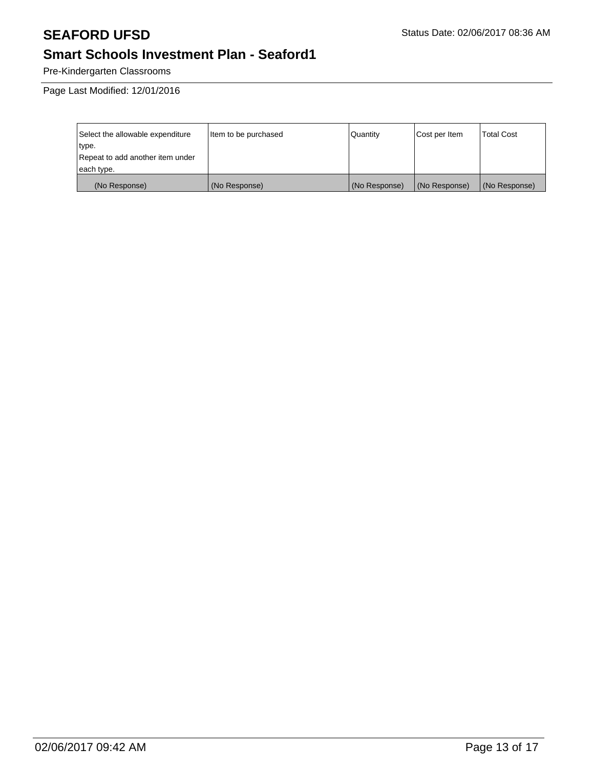Pre-Kindergarten Classrooms

Page Last Modified: 12/01/2016

| Select the allowable expenditure | Item to be purchased | Quantity      | Cost per Item | <b>Total Cost</b> |
|----------------------------------|----------------------|---------------|---------------|-------------------|
| type.                            |                      |               |               |                   |
| Repeat to add another item under |                      |               |               |                   |
| each type.                       |                      |               |               |                   |
| (No Response)                    | (No Response)        | (No Response) | (No Response) | (No Response)     |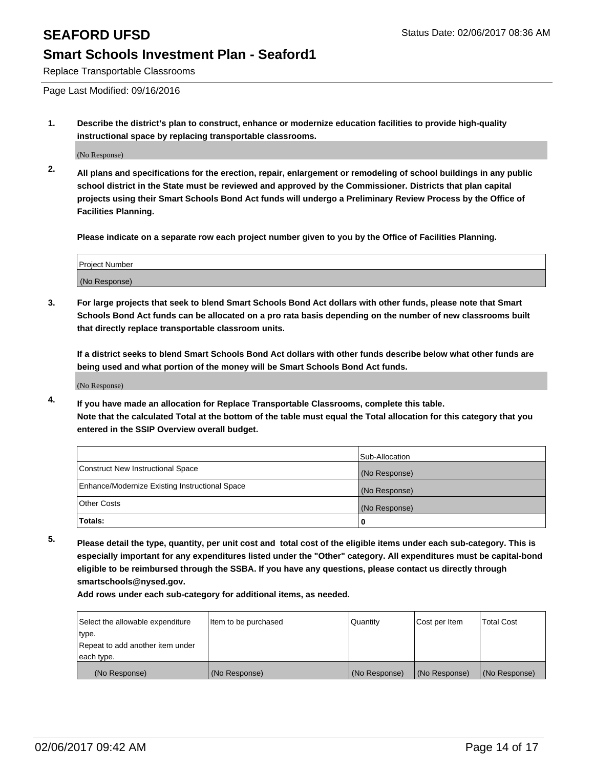Replace Transportable Classrooms

Page Last Modified: 09/16/2016

**1. Describe the district's plan to construct, enhance or modernize education facilities to provide high-quality instructional space by replacing transportable classrooms.**

(No Response)

**2. All plans and specifications for the erection, repair, enlargement or remodeling of school buildings in any public school district in the State must be reviewed and approved by the Commissioner. Districts that plan capital projects using their Smart Schools Bond Act funds will undergo a Preliminary Review Process by the Office of Facilities Planning.**

**Please indicate on a separate row each project number given to you by the Office of Facilities Planning.**

| <b>Project Number</b> |  |
|-----------------------|--|
| (No Response)         |  |

**3. For large projects that seek to blend Smart Schools Bond Act dollars with other funds, please note that Smart Schools Bond Act funds can be allocated on a pro rata basis depending on the number of new classrooms built that directly replace transportable classroom units.**

**If a district seeks to blend Smart Schools Bond Act dollars with other funds describe below what other funds are being used and what portion of the money will be Smart Schools Bond Act funds.**

(No Response)

**4. If you have made an allocation for Replace Transportable Classrooms, complete this table. Note that the calculated Total at the bottom of the table must equal the Total allocation for this category that you entered in the SSIP Overview overall budget.**

|                                                | Sub-Allocation |
|------------------------------------------------|----------------|
| Construct New Instructional Space              | (No Response)  |
| Enhance/Modernize Existing Instructional Space | (No Response)  |
| <b>Other Costs</b>                             | (No Response)  |
| Totals:                                        |                |

**5. Please detail the type, quantity, per unit cost and total cost of the eligible items under each sub-category. This is especially important for any expenditures listed under the "Other" category. All expenditures must be capital-bond eligible to be reimbursed through the SSBA. If you have any questions, please contact us directly through smartschools@nysed.gov.**

| Select the allowable expenditure | litem to be purchased | Quantity      | Cost per Item | <b>Total Cost</b> |
|----------------------------------|-----------------------|---------------|---------------|-------------------|
| type.                            |                       |               |               |                   |
| Repeat to add another item under |                       |               |               |                   |
| each type.                       |                       |               |               |                   |
| (No Response)                    | (No Response)         | (No Response) | (No Response) | (No Response)     |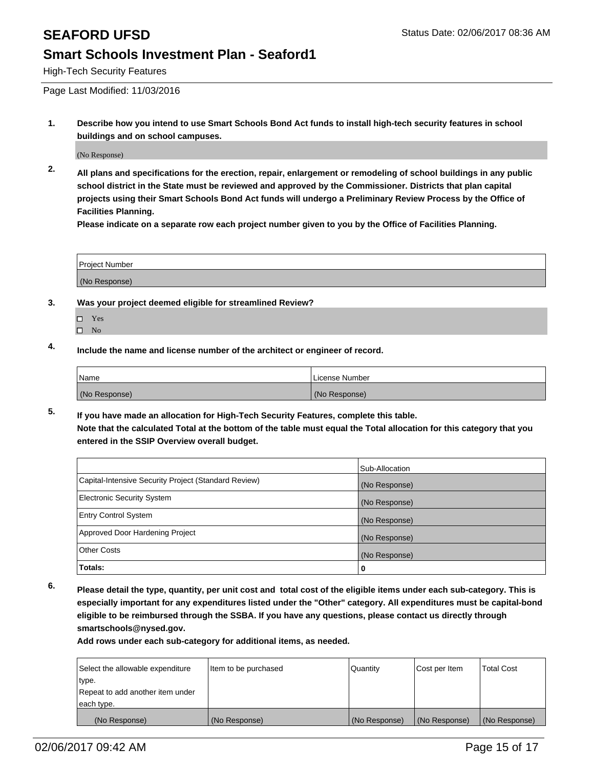High-Tech Security Features

Page Last Modified: 11/03/2016

**1. Describe how you intend to use Smart Schools Bond Act funds to install high-tech security features in school buildings and on school campuses.**

(No Response)

**2. All plans and specifications for the erection, repair, enlargement or remodeling of school buildings in any public school district in the State must be reviewed and approved by the Commissioner. Districts that plan capital projects using their Smart Schools Bond Act funds will undergo a Preliminary Review Process by the Office of Facilities Planning.** 

**Please indicate on a separate row each project number given to you by the Office of Facilities Planning.**

| Project Number |  |
|----------------|--|
| (No Response)  |  |

- **3. Was your project deemed eligible for streamlined Review?**
	- Yes
	- $\square$  No
- **4. Include the name and license number of the architect or engineer of record.**

| <sup>1</sup> Name | License Number |
|-------------------|----------------|
| (No Response)     | (No Response)  |

**5. If you have made an allocation for High-Tech Security Features, complete this table. Note that the calculated Total at the bottom of the table must equal the Total allocation for this category that you entered in the SSIP Overview overall budget.**

|                                                      | Sub-Allocation |
|------------------------------------------------------|----------------|
| Capital-Intensive Security Project (Standard Review) | (No Response)  |
| <b>Electronic Security System</b>                    | (No Response)  |
| <b>Entry Control System</b>                          | (No Response)  |
| Approved Door Hardening Project                      | (No Response)  |
| <b>Other Costs</b>                                   | (No Response)  |
| Totals:                                              | 0              |

**6. Please detail the type, quantity, per unit cost and total cost of the eligible items under each sub-category. This is especially important for any expenditures listed under the "Other" category. All expenditures must be capital-bond eligible to be reimbursed through the SSBA. If you have any questions, please contact us directly through smartschools@nysed.gov.**

| Select the allowable expenditure | Item to be purchased | Quantity      | Cost per Item | <b>Total Cost</b> |
|----------------------------------|----------------------|---------------|---------------|-------------------|
| type.                            |                      |               |               |                   |
| Repeat to add another item under |                      |               |               |                   |
| each type.                       |                      |               |               |                   |
| (No Response)                    | (No Response)        | (No Response) | (No Response) | (No Response)     |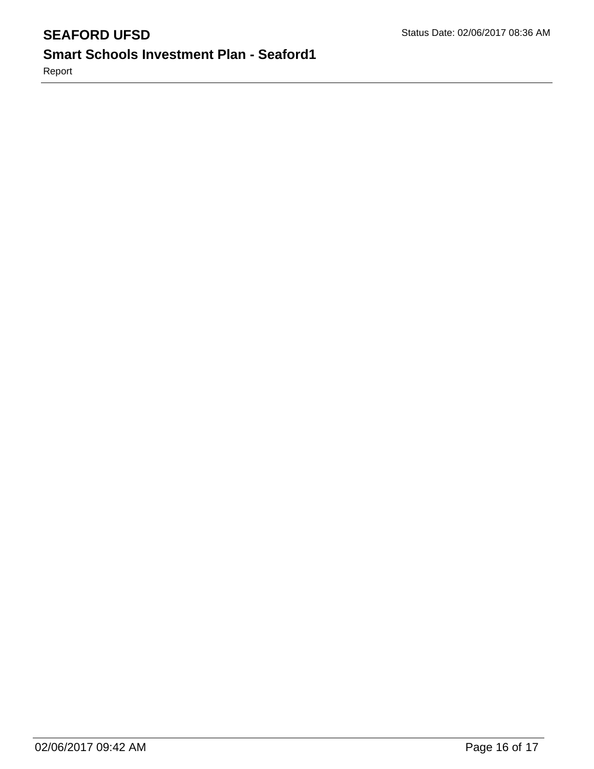# **SEAFORD UFSD** Status Date: 02/06/2017 08:36 AM **Smart Schools Investment Plan - Seaford1**

Report